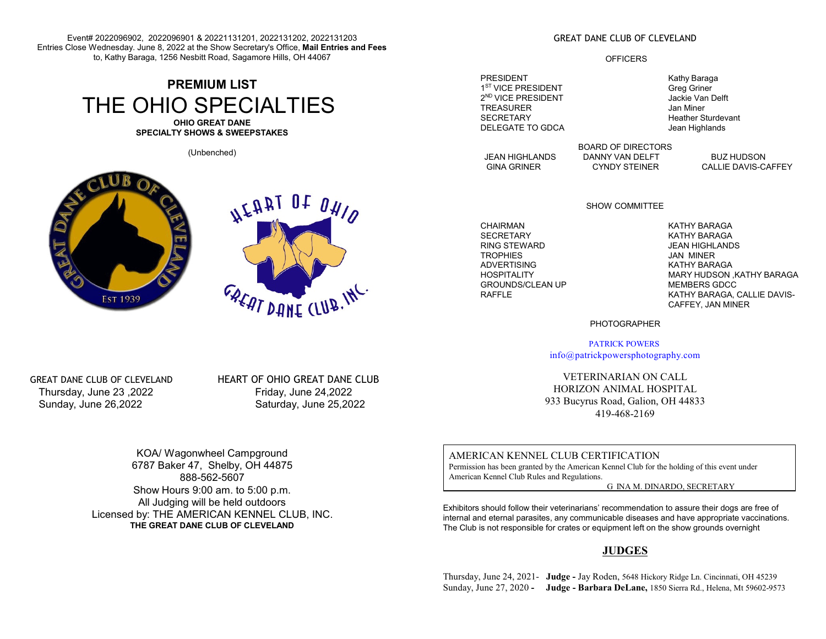Event# 2022096902, 2022096901 & 20221131201, 2022131202, 2022131203 Entries Close Wednesday. June 8, 2022 at the Show Secretary's Office, **Mail Entries and Fees** to, Kathy Baraga, 1256 Nesbitt Road, Sagamore Hills, OH 44067

## **PREMIUM LIST** THE OHIO SPECIALTIES **OHIO GREAT DANE**

**SPECIALTY SHOWS & SWEEPSTAKES**

(Unbenched)





### GREAT DANE CLUB OF CLEVELAND

### **OFFICERS**

PRESIDENT **Kathy Baraga** 1<sup>ST</sup> VICE PRESIDENT Greg Griner 2<sup>ND</sup> VICE PRESIDENT **Algement Contract Contract Contract Contract Contract Contract Contract Contract Contract Contract Contract Contract Contract Contract Contract Contract Contract Contract Contract Contract Contract Co** TREASURER Jan Miner<br>SECRETARY JAN Heather S DELEGATE TO GDCA Jean Highlands

JEAN HIGHLANDS DANNY VAN DELFT BUZ HUDSON<br>GINA GRINER CYNDY STEINER CALLIE DAVIS-C.

CALLIE DAVIS-CAFFEY

**Heather Sturdevant** 

### SHOW COMMITTEE

BOARD OF DIRECTORS

CHAIRMAN KATHY BARAGA<br>SECRETARY CHAIRMAN KATHY BARAGA SECRETARY KATHY BARAGA TROPHIES JAN MINER ADVERTISING KATHY BARAGA GROUNDS/CLEAN UP MEMBERS GDCC

**JEAN HIGHLANDS** MARY HUDSON ,KATHY BARAGA KATHY BARAGA, CALLIE DAVIS-CAFFEY, JAN MINER

PHOTOGRAPHER

PATRICK POWERS info@patrickpowersphotography.com

VETERINARIAN ON CALL HORIZON ANIMAL HOSPITAL 933 Bucyrus Road, Galion, OH 44833 419-468-2169

AMERICAN KENNEL CLUB CERTIFICATION Permission has been granted by the American Kennel Club for the holding of this event under American Kennel Club Rules and Regulations.

G INA M. DINARDO, SECRETARY

Exhibitors should follow their veterinarians' recommendation to assure their dogs are free of internal and eternal parasites, any communicable diseases and have appropriate vaccinations. The Club is not responsible for crates or equipment left on the show grounds overnight

### **JUDGES**

Thursday, June 24, 2021- **Judge -** Jay Roden, 5648 Hickory Ridge Ln. Cincinnati, OH 45239 Sunday, June 27, 2020 **- Judge - Barbara DeLane,** 1850 Sierra Rd., Helena, Mt 59602-9573

 Thursday, June 23 ,2022 Friday, June 24,2022 Sunday, June 26,2022 Saturday, June 25,2022

GREAT DANE CLUB OF CLEVELAND HEART OF OHIO GREAT DANE CLUB

KOA/ Wagonwheel Campground 6787 Baker 47, Shelby, OH 44875 888-562-5607 Show Hours 9:00 am. to 5:00 p.m. All Judging will be held outdoors Licensed by: THE AMERICAN KENNEL CLUB, INC. **THE GREAT DANE CLUB OF CLEVELAND**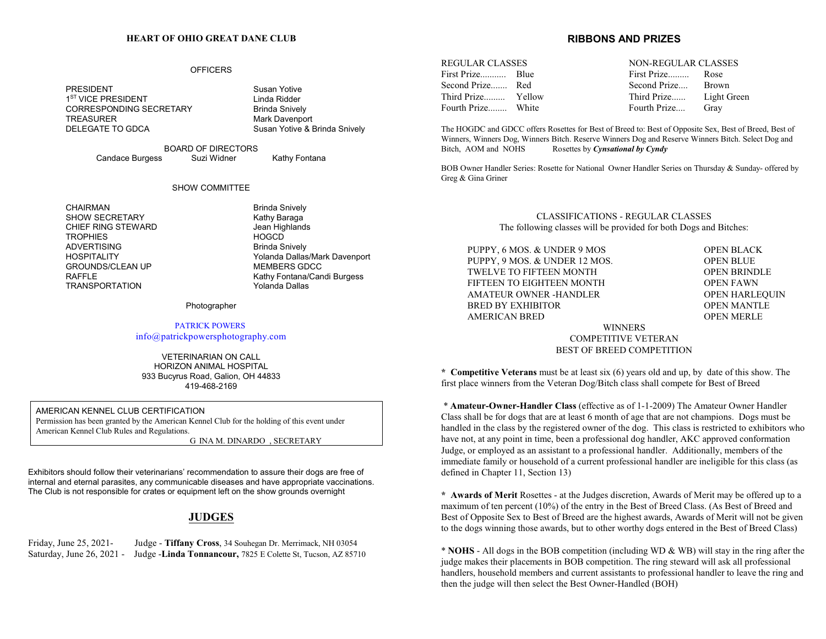### **HEART OF OHIO GREAT DANE CLUB**

### **OFFICERS**

PRESIDENT Susan Yotive 1<sup>ST</sup> VICE PRESIDENT **Linda Ridder** CORRESPONDING SECRETARY Brinda Snively TREASURER<br>DELEGATE TO GDCA<br>Mark DELEGATE TO GDCA

Susan Yotive & Brinda Snively

BOARD OF DIRECTORS Candace Burgess Suzi Widner Kathy Fontana

#### SHOW COMMITTEE

CHAIRMAN Brinda Snively SHOW SECRETARY Kathy Baraga CHIEF RING STEWARD<br>
TROPHIES
BROOM TROPHIES
TROPHIES
S TROPHIES HOGCD **ADVERTISING GROUNDS/CLEAN UP TRANSPORTATION** 

HOSPITALITY Yolanda Dallas/Mark Davenport RAFFLE<br>
TRANSPORTATION<br>
Yolanda Dallas

#### Photographer

### PATRICK POWERS info@patrickpowersphotography.com

VETERINARIAN ON CALL HORIZON ANIMAL HOSPITAL 933 Bucyrus Road, Galion, OH 44833 419-468-2169

AMERICAN KENNEL CLUB CERTIFICATION Permission has been granted by the American Kennel Club for the holding of this event under American Kennel Club Rules and Regulations.

G INA M. DINARDO , SECRETARY

Exhibitors should follow their veterinarians' recommendation to assure their dogs are free of internal and eternal parasites, any communicable diseases and have appropriate vaccinations. The Club is not responsible for crates or equipment left on the show grounds overnight

### **JUDGES**

Friday, June 25, 2021- Judge - **Tiffany Cross**, 34 Souhegan Dr. Merrimack, NH 03054 Saturday, June 26, 2021 - Judge -**Linda Tonnancour,** 7825 E Colette St, Tucson, AZ 85710

### **RIBBONS AND PRIZES**

REGULAR CLASSES NON-REGULAR CLASSES First Prize........... Blue First Prize......... Rose Second Prize....... Red Second Prize.... Brown Fourth Prize........ White Fourth Prize.... Gray

Third Prize......... Yellow Third Prize...... Light Green

The HOGDC and GDCC offers Rosettes for Best of Breed to: Best of Opposite Sex, Best of Breed, Best of Winners, Winners Dog, Winners Bitch. Reserve Winners Dog and Reserve Winners Bitch. Select Dog and Bitch, AOM and NOHS Rosettes by *Cynsational by Cyndy*

BOB Owner Handler Series: Rosette for National Owner Handler Series on Thursday & Sunday- offered by Greg & Gina Griner

> CLASSIFICATIONS - REGULAR CLASSES The following classes will be provided for both Dogs and Bitches:

| PUPPY, 6 MOS. & UNDER 9 MOS   | <b>OPEN BLACK</b>     |
|-------------------------------|-----------------------|
| PUPPY, 9 MOS. & UNDER 12 MOS. | <b>OPEN BLUE</b>      |
| TWELVE TO FIFTEEN MONTH       | <b>OPEN BRINDLE</b>   |
| FIFTEEN TO EIGHTEEN MONTH     | <b>OPEN FAWN</b>      |
| AMATEUR OWNER -HANDLER        | <b>OPEN HARLEQUIN</b> |
| BRED BY EXHIBITOR             | <b>OPEN MANTLE</b>    |
| <b>AMERICAN BRED</b>          | <b>OPEN MERLE</b>     |
| <b>WINNERS</b>                |                       |
| <b>COMPETITIVE VETERAN</b>    |                       |
|                               |                       |

BEST OF BREED COMPETITION

**\* Competitive Veterans** must be at least six (6) years old and up, by date of this show. The first place winners from the Veteran Dog/Bitch class shall compete for Best of Breed

 \* **Amateur-Owner-Handler Class** (effective as of 1-1-2009) The Amateur Owner Handler Class shall be for dogs that are at least 6 month of age that are not champions. Dogs must be handled in the class by the registered owner of the dog. This class is restricted to exhibitors who have not, at any point in time, been a professional dog handler, AKC approved conformation Judge, or employed as an assistant to a professional handler. Additionally, members of the immediate family or household of a current professional handler are ineligible for this class (as defined in Chapter 11, Section 13)

**\* Awards of Merit** Rosettes - at the Judges discretion, Awards of Merit may be offered up to a maximum of ten percent (10%) of the entry in the Best of Breed Class. (As Best of Breed and Best of Opposite Sex to Best of Breed are the highest awards, Awards of Merit will not be given to the dogs winning those awards, but to other worthy dogs entered in the Best of Breed Class)

\* **NOHS** - All dogs in the BOB competition (including WD & WB) will stay in the ring after the judge makes their placements in BOB competition. The ring steward will ask all professional handlers, household members and current assistants to professional handler to leave the ring and then the judge will then select the Best Owner-Handled (BOH)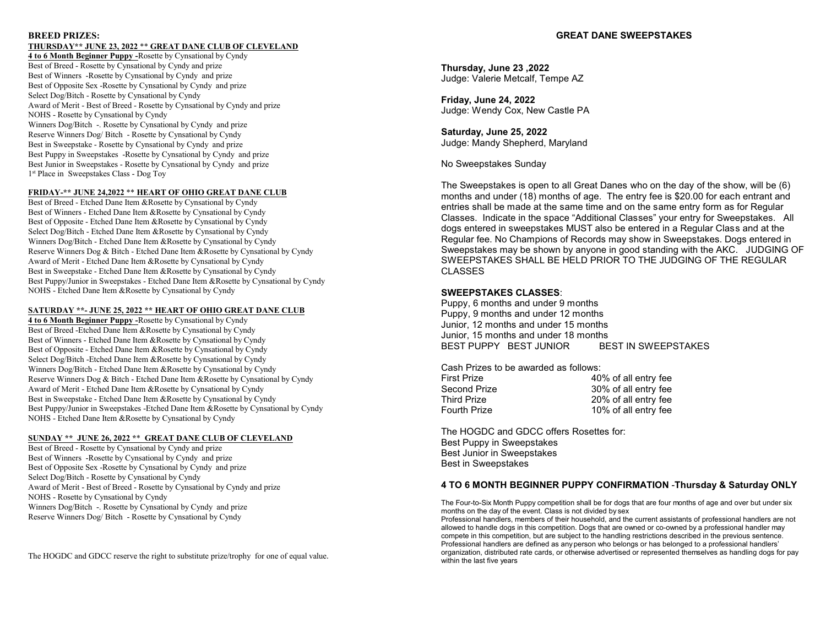### **BREED PRIZES:**

### **THURSDAY\*\* JUNE 23, 2022** \*\* **GREAT DANE CLUB OF CLEVELAND**

**4 to 6 Month Beginner Puppy -**Rosette by Cynsational by Cyndy Best of Breed - Rosette by Cynsational by Cyndy and prize Best of Winners -Rosette by Cynsational by Cyndy and prize Best of Opposite Sex -Rosette by Cynsational by Cyndy and prize Select Dog/Bitch - Rosette by Cynsational by Cyndy Award of Merit - Best of Breed - Rosette by Cynsational by Cyndy and prize NOHS - Rosette by Cynsational by Cyndy Winners Dog/Bitch -. Rosette by Cynsational by Cyndy and prize Reserve Winners Dog/ Bitch - Rosette by Cynsational by Cyndy Best in Sweepstake - Rosette by Cynsational by Cyndy and prize Best Puppy in Sweepstakes -Rosette by Cynsational by Cyndy and prize Best Junior in Sweepstakes - Rosette by Cynsational by Cyndy and prize 1 st Place in Sweepstakes Class - Dog Toy

### **FRIDAY-\*\* JUNE 24,2022** \*\* **HEART OF OHIO GREAT DANE CLUB**

Best of Breed - Etched Dane Item &Rosette by Cynsational by Cyndy Best of Winners - Etched Dane Item &Rosette by Cynsational by Cyndy Best of Opposite - Etched Dane Item &Rosette by Cynsational by Cyndy Select Dog/Bitch - Etched Dane Item &Rosette by Cynsational by Cyndy Winners Dog/Bitch - Etched Dane Item &Rosette by Cynsational by Cyndy Reserve Winners Dog & Bitch - Etched Dane Item &Rosette by Cynsational by Cyndy Award of Merit - Etched Dane Item &Rosette by Cynsational by Cyndy Best in Sweepstake - Etched Dane Item &Rosette by Cynsational by Cyndy Best Puppy/Junior in Sweepstakes - Etched Dane Item &Rosette by Cynsational by Cyndy NOHS - Etched Dane Item &Rosette by Cynsational by Cyndy

### **SATURDAY \*\*- JUNE 25, 2022 \*\* HEART OF OHIO GREAT DANE CLUB**

**4 to 6 Month Beginner Puppy -**Rosette by Cynsational by Cyndy Best of Breed -Etched Dane Item &Rosette by Cynsational by Cyndy Best of Winners - Etched Dane Item &Rosette by Cynsational by Cyndy Best of Opposite - Etched Dane Item &Rosette by Cynsational by Cyndy Select Dog/Bitch -Etched Dane Item &Rosette by Cynsational by Cyndy Winners Dog/Bitch - Etched Dane Item &Rosette by Cynsational by Cyndy Reserve Winners Dog & Bitch - Etched Dane Item &Rosette by Cynsational by Cyndy Award of Merit - Etched Dane Item &Rosette by Cynsational by Cyndy Best in Sweepstake - Etched Dane Item &Rosette by Cynsational by Cyndy Best Puppy/Junior in Sweepstakes -Etched Dane Item &Rosette by Cynsational by Cyndy NOHS - Etched Dane Item &Rosette by Cynsational by Cyndy

### **SUNDAY \*\* JUNE 26, 2022 \***\* **GREAT DANE CLUB OF CLEVELAND**

Best of Breed - Rosette by Cynsational by Cyndy and prize Best of Winners -Rosette by Cynsational by Cyndy and prize Best of Opposite Sex -Rosette by Cynsational by Cyndy and prize Select Dog/Bitch - Rosette by Cynsational by Cyndy Award of Merit - Best of Breed - Rosette by Cynsational by Cyndy and prize NOHS - Rosette by Cynsational by Cyndy Winners Dog/Bitch -. Rosette by Cynsational by Cyndy and prize Reserve Winners Dog/ Bitch - Rosette by Cynsational by Cyndy

The HOGDC and GDCC reserve the right to substitute prize/trophy for one of equal value.

**Thursday, June 23 ,2022** Judge: Valerie Metcalf, Tempe AZ

**Friday, June 24, 2022** Judge: Wendy Cox, New Castle PA

**Saturday, June 25, 2022** Judge: Mandy Shepherd, Maryland

No Sweepstakes Sunday

The Sweepstakes is open to all Great Danes who on the day of the show, will be (6) months and under (18) months of age. The entry fee is \$20.00 for each entrant and entries shall be made at the same time and on the same entry form as for Regular Classes. Indicate in the space "Additional Classes" your entry for Sweepstakes. All dogs entered in sweepstakes MUST also be entered in a Regular Class and at the Regular fee. No Champions of Records may show in Sweepstakes. Dogs entered in Sweepstakes may be shown by anyone in good standing with the AKC. JUDGING OF SWEEPSTAKES SHALL BE HELD PRIOR TO THE JUDGING OF THE REGULAR CLASSES

### **SWEEPSTAKES CLASSES**:

Puppy, 6 months and under 9 months Puppy, 9 months and under 12 months Junior, 12 months and under 15 months Junior, 15 months and under 18 months BEST PUPPY BEST JUNIOR BEST IN SWEEPSTAKES

Cash Prizes to be awarded as follows:

| 40% of all entry fee |
|----------------------|
| 30% of all entry fee |
| 20% of all entry fee |
| 10% of all entry fee |
|                      |

The HOGDC and GDCC offers Rosettes for: Best Puppy in Sweepstakes Best Junior in Sweepstakes Best in Sweepstakes

### **4 TO 6 MONTH BEGINNER PUPPY CONFIRMATION** -**Thursday & Saturday ONLY**

The Four-to-Six Month Puppy competition shall be for dogs that are four months of age and over but under six months on the day of the event. Class is not divided by sex

Professional handlers, members of their household, and the current assistants of professional handlers are not allowed to handle dogs in this competition. Dogs that are owned or co-owned by a professional handler may compete in this competition, but are subject to the handling restrictions described in the previous sentence. Professional handlers are defined as any person who belongs or has belonged to a professional handlers' organization, distributed rate cards, or otherwise advertised or represented themselves as handling dogs for pay within the last five years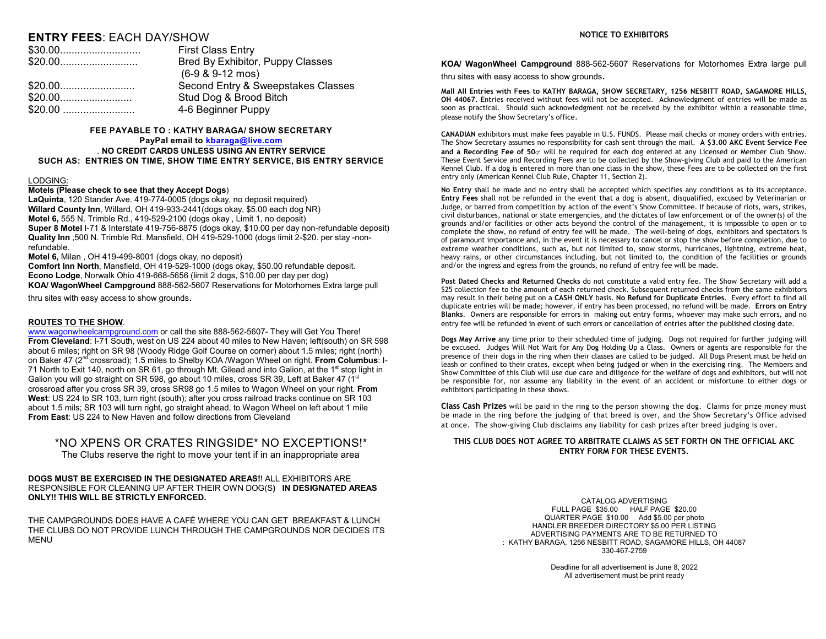### **ENTRY FEES**: EACH DAY/SHOW

| <b>First Class Entry</b>           |
|------------------------------------|
| Bred By Exhibitor, Puppy Classes   |
| $(6-9 & 9-12 \text{ mos})$         |
| Second Entry & Sweepstakes Classes |
| Stud Dog & Brood Bitch             |
| 4-6 Beginner Puppy                 |

### **FEE PAYABLE TO : KATHY BARAGA/ SHOW SECRETARY PayPal email to kbaraga@live.com** . **NO CREDIT CARDS UNLESS USING AN ENTRY SERVICE SUCH AS: ENTRIES ON TIME, SHOW TIME ENTRY SERVICE, BIS ENTRY SERVICE**

### LODGING:

### **Motels (Please check to see that they Accept Dogs**)

**LaQuinta**, 120 Stander Ave. 419-774-0005 (dogs okay, no deposit required) **Willard County Inn**, Willard, OH 419-933-2441(dogs okay, \$5.00 each dog NR) **Motel 6,** 555 N. Trimble Rd., 419-529-2100 (dogs okay , Limit 1, no deposit) **Super 8 Motel** I-71 & Interstate 419-756-8875 (dogs okay, \$10.00 per day non-refundable deposit) **Quality Inn** ,500 N. Trimble Rd. Mansfield, OH 419-529-1000 (dogs limit 2-\$20. per stay -nonrefundable.

**Motel 6,** Milan , OH 419-499-8001 (dogs okay, no deposit)

**Comfort Inn North**, Mansfield, OH 419-529-1000 (dogs okay, \$50.00 refundable deposit. **Econo Lodge**, Norwalk Ohio 419-668-5656 (limit 2 dogs, \$10.00 per day per dog) **KOA/ WagonWheel Campground** 888-562-5607 Reservations for Motorhomes Extra large pull

thru sites with easy access to show grounds.

### **ROUTES TO THE SHOW**.

www.wagonwheelcampground.com or call the site 888-562-5607- They will Get You There! **From Cleveland**: I-71 South, west on US 224 about 40 miles to New Haven; left(south) on SR 598 about 6 miles; right on SR 98 (Woody Ridge Golf Course on corner) about 1.5 miles; right (north) on Baker 47 (2<sup>nd</sup> crossroad); 1.5 miles to Shelby KOA /Wagon Wheel on right. **From Columbus**: I-71 North to Exit 140, north on SR 61, go through Mt. Gilead and into Galion, at the 1<sup>st</sup> stop light in Galion you will go straight on SR 598, go about 10 miles, cross SR 39, Left at Baker 47 (1<sup>st</sup>) crossroad after you cross SR 39, cross SR98 go 1.5 miles to Wagon Wheel on your right. **From West**: US 224 to SR 103, turn right (south); after you cross railroad tracks continue on SR 103 about 1.5 mils; SR 103 will turn right, go straight ahead, to Wagon Wheel on left about 1 mile **From East**: US 224 to New Haven and follow directions from Cleveland

### \*NO XPENS OR CRATES RINGSIDE\* NO EXCEPTIONS!\*

The Clubs reserve the right to move your tent if in an inappropriate area

### **DOGS MUST BE EXERCISED IN THE DESIGNATED AREAS!**! ALL EXHIBITORS ARE RESPONSIBLE FOR CLEANING UP AFTER THEIR OWN DOG(S**) IN DESIGNATED AREAS ONLY!! THIS WILL BE STRICTLY ENFORCED.**

THE CAMPGROUNDS DOES HAVE A CAFÉ WHERE YOU CAN GET BREAKFAST & LUNCH THE CLUBS DO NOT PROVIDE LUNCH THROUGH THE CAMPGROUNDS NOR DECIDES ITS MENU

### **NOTICE TO EXHIBITORS**

**KOA/ WagonWheel Campground** 888-562-5607 Reservations for Motorhomes Extra large pull

thru sites with easy access to show grounds.

**Mall All Entries with Fees to KATHY BARAGA, SHOW SECRETARY, 1256 NESBITT ROAD, SAGAMORE HILLS, OH 44067.** Entries received without fees will not be accepted. Acknowledgment of entries will be made as soon as practical. Should such acknowledgment not be received by the exhibitor within a reasonable time, please notify the Show Secretary's office.

**CANADIAN** exhibitors must make fees payable in U.S. FUNDS. Please mail checks or money orders with entries. The Show Secretary assumes no responsibility for cash sent through the mail. **A \$3.00 AKC Event Service Fee and a Recording Fee of 50**Ë will be required for each dog entered at any Licensed or Member Club Show. These Event Service and Recording Fees are to be collected by the Show-giving Club and paid to the American Kennel Club. If a dog is entered in more than one class in the show, these Fees are to be collected on the first entry only (American Kennel Club Rule, Chapter 11, Section 2).

**No Entry** shall be made and no entry shall be accepted which specifies any conditions as to its acceptance. **Entry Fees** shall not be refunded in the event that a dog is absent, disqualified, excused by Veterinarian or Judge, or barred from competition by action of the event's Show Committee. If because of riots, wars, strikes, civil disturbances, national or state emergencies, and the dictates of law enforcement or of the owner(s) of the grounds and/or facilities or other acts beyond the control of the management, it is impossible to open or to complete the show, no refund of entry fee will be made. The well-being of dogs, exhibitors and spectators is of paramount importance and, in the event it is necessary to cancel or stop the show before completion, due to extreme weather conditions, such as, but not limited to, snow storms, hurricanes, lightning, extreme heat, heavy rains, or other circumstances including, but not limited to, the condition of the facilities or grounds and/or the ingress and egress from the grounds, no refund of entry fee will be made.

**Post Dated Checks and Returned Checks** do not constitute a valid entry fee. The Show Secretary will add a \$25 collection fee to the amount of each returned check. Subsequent returned checks from the same exhibitors may result in their being put on a **CASH ONLY** basis. **No Refund for Duplicate Entries**. Every effort to find all duplicate entries will be made; however, if entry has been processed, no refund will be made. **Errors on Entry Blanks**. Owners are responsible for errors in making out entry forms, whoever may make such errors, and no entry fee will be refunded in event of such errors or cancellation of entries after the published closing date.

**Dogs May Arrive** any time prior to their scheduled time of judging. Dogs not required for further judging will be excused. Judges Will Not Wait for Any Dog Holding Up a Class. Owners or agents are responsible for the presence of their dogs in the ring when their classes are called to be judged. All Dogs Present must be held on leash or confined to their crates, except when being judged or when in the exercising ring. The Members and Show Committee of this Club will use due care and diligence for the welfare of dogs and exhibitors, but will not be responsible for, nor assume any liability in the event of an accident or misfortune to either dogs or exhibitors participating in these shows.

**Class Cash Prizes** will be paid in the ring to the person showing the dog. Claims for prize money must be made in the ring before the judging of that breed is over, and the Show Secretary's Office advised at once. The show-giving Club disclaims any liability for cash prizes after breed judging is over.

### **THIS CLUB DOES NOT AGREE TO ARBITRATE CLAIMS AS SET FORTH ON THE OFFICIAL AKC ENTRY FORM FOR THESE EVENTS.**

CATALOG ADVERTISING FULL PAGE \$35.00 HALF PAGE \$20.00 QUARTER PAGE \$10.00 Add \$5.00 per photo HANDLER BREEDER DIRECTORY \$5.00 PER LISTING ADVERTISING PAYMENTS ARE TO BE RETURNED TO : KATHY BARAGA, 1256 NESBITT ROAD, SAGAMORE HILLS, OH 44087 330-467-2759

> Deadline for all advertisement is June 8, 2022 All advertisement must be print ready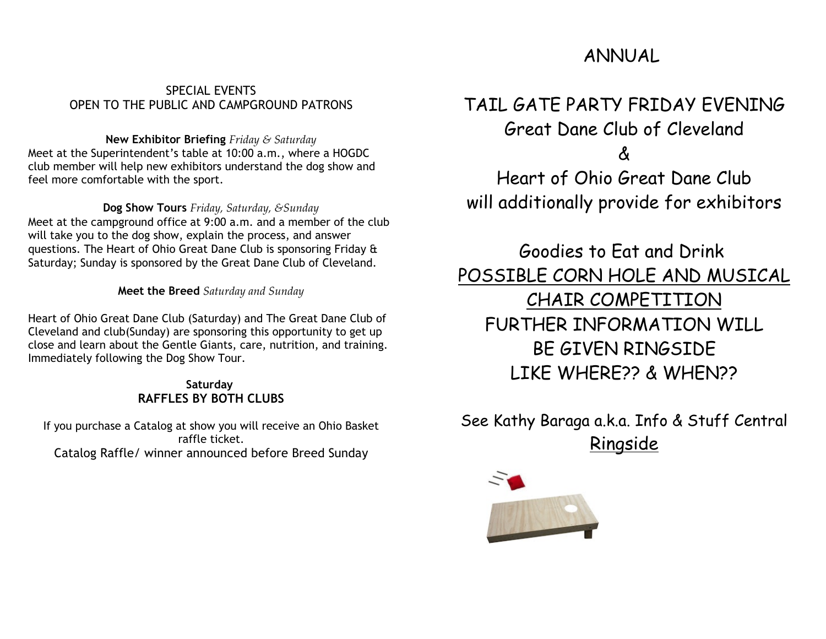# ANNUAL

## SPECIAL EVENTS OPEN TO THE PUBLIC AND CAMPGROUND PATRONS

### **New Exhibitor Briefing** *Friday & Saturday*

Meet at the Superintendent's table at 10:00 a.m., where a HOGDC club member will help new exhibitors understand the dog show and feel more comfortable with the sport.

**Dog Show Tours** *Friday, Saturday, &Sunday*

Meet at the campground office at 9:00 a.m. and a member of the club will take you to the dog show, explain the process, and answer questions. The Heart of Ohio Great Dane Club is sponsoring Friday & Saturday; Sunday is sponsored by the Great Dane Club of Cleveland.

**Meet the Breed** *Saturday and Sunday*

Heart of Ohio Great Dane Club (Saturday) and The Great Dane Club of Cleveland and club(Sunday) are sponsoring this opportunity to get up close and learn about the Gentle Giants, care, nutrition, and training. Immediately following the Dog Show Tour.

### **Saturday RAFFLES BY BOTH CLUBS**

If you purchase a Catalog at show you will receive an Ohio Basket raffle ticket. Catalog Raffle/ winner announced before Breed Sunday

# TAIL GATE PARTY FRIDAY EVENING Great Dane Club of Cleveland

&

Heart of Ohio Great Dane Club will additionally provide for exhibitors

Goodies to Eat and Drink POSSIBLE CORN HOLE AND MUSICAL CHAIR COMPETITION FURTHER INFORMATION WILL BE GIVEN RINGSIDE LIKE WHERE?? & WHEN??

See Kathy Baraga a.k.a. Info & Stuff Central Ringside